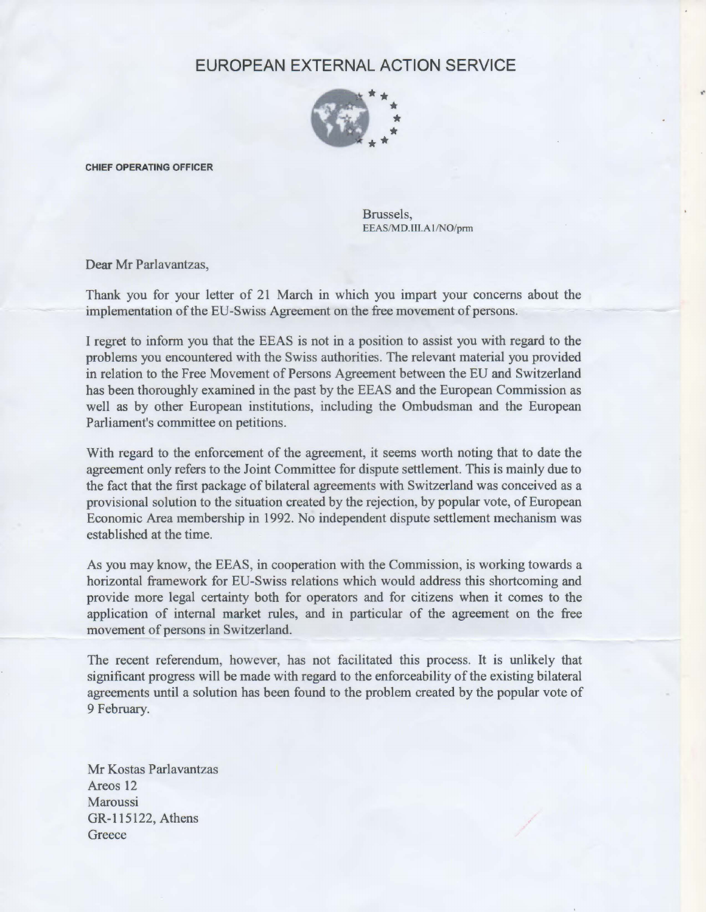## EUROPEAN EXTERNAL ACTION SERVICE



CHIEF OPERATING OFFICER

Brussels, EEAS/MD.III.Al/NO/pπn

Dear Mr Parlavantzas,

Thank you for your letter of 21 March in which you impart your concems about the implementation of the EU-Swiss Agreement on the free movement of persons.

1 regret to inform you that the EEAS is not in a position to assist you with regard to the problems you encountered with the Swiss authorities. The relevant material you provided ίη relation to the Free Movement of Persons Agreement between the EU and Switzerland has been thoroughly examined in the past by the EEAS and the European Commission as well as by other European institutions, including the Ombudsman and the European Parliament's committee on petitions.

With regard to the enforcement of the agreement, it seems worth noting that to date the agreement only refers to the Joint Committee for dispute settlement. This is mainly due to the fact that the first package of bilateral agreements with Switzerland was conceived as a provisional solution to the situation created by the rejection, by popular vote, of European Economic Area membership in 1992. Νο independent dispute settlement mechanism was established at the time.

As you may know, the EEAS, in cooperation with the Commission, is working towards a horizontal framework for EU-Swiss relations which would address this shortcoming and provide more legal certainty both for operators and for citizens when it comes to the application of intemal market rules, and ίη particular of the agreement οη the free movement of persons in Switzerland.

The recent referendum, however, has not facilitated this process. It is unlikely that significant progress will be made with regard to the enforceability of the existing bilateral agreements until a solution has been found to the problem created by the popular vote of 9 February.

Mr Kostas Parlavantzas Areos 12 **Maroussi** GR-115122, Athens **Greece**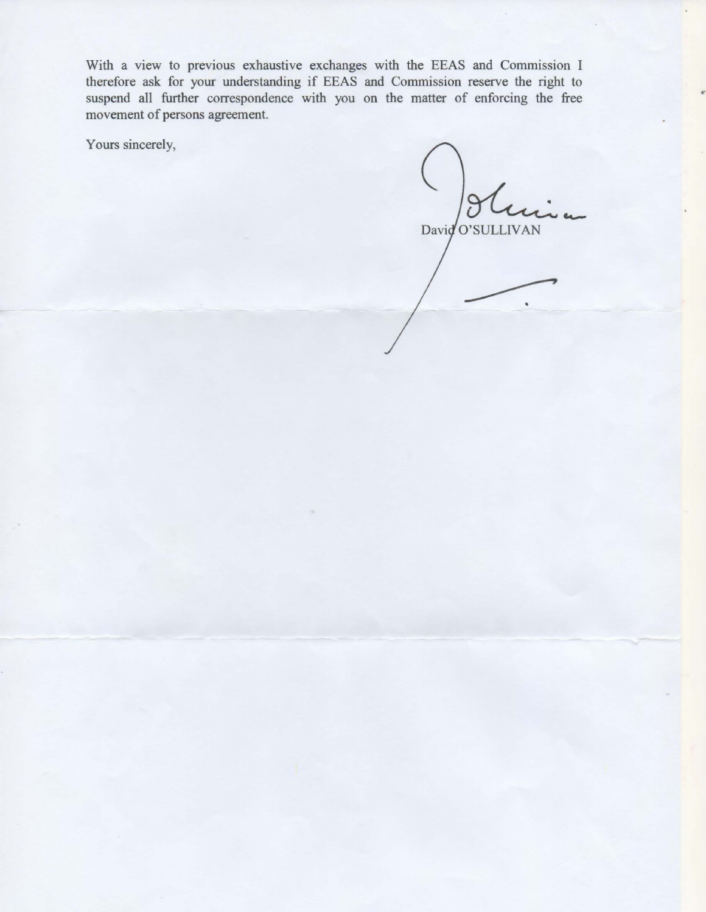With a view to previous exhaustive exchanges with the EEAS and Commission 1 therefore ask for your understanding if EEAS and Commission reserve the right to suspend all further correspondence with you on the matter of enforcing the free movement of persons agreement.

Yours sincerely,

David O'SULLIVAN

..